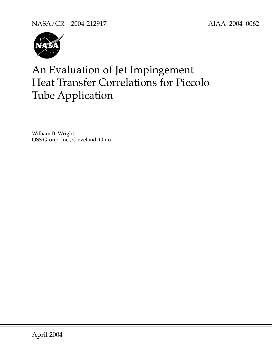

# An Evaluation of Jet Impingement Heat Transfer Correlations for Piccolo Tube Application

William B. Wright QSS Group, Inc., Cleveland, Ohio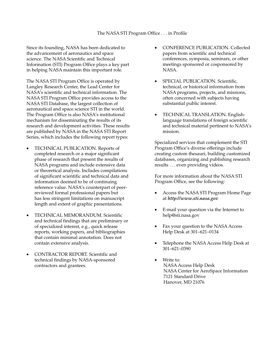Since its founding, NASA has been dedicated to the advancement of aeronautics and space science. The NASA Scientific and Technical Information (STI) Program Office plays a key part in helping NASA maintain this important role.

The NASA STI Program Office is operated by Langley Research Center, the Lead Center for NASA's scientific and technical information. The NASA STI Program Office provides access to the NASA STI Database, the largest collection of aeronautical and space science STI in the world. The Program Office is also NASA's institutional mechanism for disseminating the results of its research and development activities. These results are published by NASA in the NASA STI Report Series, which includes the following report types:

- ∑ TECHNICAL PUBLICATION. Reports of completed research or a major significant phase of research that present the results of NASA programs and include extensive data or theoretical analysis. Includes compilations of significant scientific and technical data and information deemed to be of continuing reference value. NASA's counterpart of peerreviewed formal professional papers but has less stringent limitations on manuscript length and extent of graphic presentations.
- ∑ TECHNICAL MEMORANDUM. Scientific and technical findings that are preliminary or of specialized interest, e.g., quick release reports, working papers, and bibliographies that contain minimal annotation. Does not contain extensive analysis.
- CONTRACTOR REPORT. Scientific and technical findings by NASA-sponsored contractors and grantees.
- ∑ CONFERENCE PUBLICATION. Collected papers from scientific and technical conferences, symposia, seminars, or other meetings sponsored or cosponsored by NASA.
- ∑ SPECIAL PUBLICATION. Scientific, technical, or historical information from NASA programs, projects, and missions, often concerned with subjects having substantial public interest.
- TECHNICAL TRANSLATION. Englishlanguage translations of foreign scientific and technical material pertinent to NASA's mission.

Specialized services that complement the STI Program Office's diverse offerings include creating custom thesauri, building customized databases, organizing and publishing research results . . . even providing videos.

For more information about the NASA STI Program Office, see the following:

- ∑ Access the NASA STI Program Home Page at *http://www.sti.nasa.gov*
- ∑ E-mail your question via the Internet to help@sti.nasa.gov
- Fax your question to the NASA Access Help Desk at 301–621–0134
- Telephone the NASA Access Help Desk at 301–621–0390
- Write to: NASA Access Help Desk NASA Center for AeroSpace Information 7121 Standard Drive Hanover, MD 21076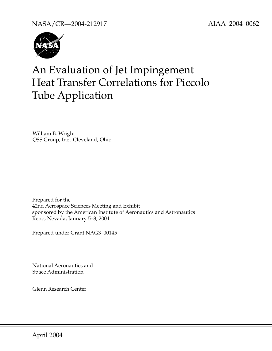

# An Evaluation of Jet Impingement Heat Transfer Correlations for Piccolo Tube Application

William B. Wright QSS Group, Inc., Cleveland, Ohio

Prepared for the 42nd Aerospace Sciences Meeting and Exhibit sponsored by the American Institute of Aeronautics and Astronautics Reno, Nevada, January 5–8, 2004

Prepared under Grant NAG3–00145

National Aeronautics and Space Administration

Glenn Research Center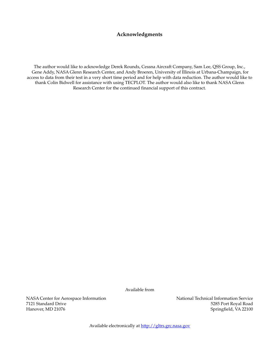## **Acknowledgments**

The author would like to acknowledge Derek Rounds, Cessna Aircraft Company, Sam Lee, QSS Group, Inc., Gene Addy, NASA Glenn Research Center, and Andy Broeren, University of Illinois at Urbana-Champaign, for access to data from their test in a very short time period and for help with data reduction. The author would like to thank Colin Bidwell for assistance with using TECPLOT. The author would also like to thank NASA Glenn Research Center for the continued financial support of this contract.

Available from

NASA Center for Aerospace Information 7121 Standard Drive Hanover, MD 21076

National Technical Information Service 5285 Port Royal Road Springfield, VA 22100

Available electronically at <http://gltrs.grc.nasa.gov>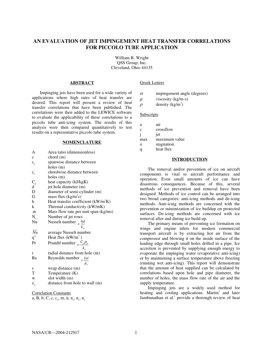### **AN EVALUATION OF JET IMPINGEMENT HEAT TRANSFER CORRELATIONS FOR PICCOLO TUBE APPLICATION**

William B. Wright QSS Group, Inc. Cleveland, Ohio 44135

#### **ABSTRACT**

Impinging jets have been used for a wide variety of applications where high rates of heat transfer are desired. This report will present a review of heat transfer correlations that have been published. The correlations were then added to the LEWICE software to evaluate the applicability of these correlations to a piccolo tube anti-icing system. The results of this analysis were then compared quantitatively to test results on a representative piccolo tube system.

#### **NOMENCLATURE**

A Area ratio (dimensionless) c chord (m) c<sub>n</sub> spanwise distance between holes (m)  $c<sub>x</sub>$  chordwise distance between holes (m)  $C_p$  heat capacity (kJ/kgK)<br>d is hole diameter (m) jet hole diameter (m) D diameter of semi-cylinder (m) G mass flux  $(kg/m^2s)$ h Heat transfer coefficient  $(kW/m^2K)$ k Thermal conductivity (kW/mK) *m* Mass flow rate per unit span (kg/ms) N<sub>r</sub><br>Nu Number of jet rows Nusselt number  $\frac{hd}{d}$ *ka*  $\overline{Nu}$  average Nusselt number q" Heat flux (kW/m<sup>2</sup>) Pr Prandtl number  $= \frac{C_p \mu_a}{\sigma_a^2}$ *ka* r radial distance from hole (m) Re Reynolds number <sup>=</sup> *Gd*  $\mu_a$ s wrap distance (m) Temperature  $(K)$ w slot width (m)  $z_n$  distance from hole to wall  $(m)$ 

#### Correlation Constants

a, B, b, C, c, c<sub>o</sub>, m, n, n<sub>x</sub>, n<sub>y</sub>, n<sub>z</sub>

#### Greek Letters

 $\alpha$  impingement angle (degrees)

 $\mu$  viscosity (kg/m-s)

 $\rho$  density (kg/m<sup>3</sup>)

#### Subscripts

| a   | air           |
|-----|---------------|
| c   | crossflow     |
|     | jet           |
| max | maximum value |
| O   | stagnation    |
|     | heat flux     |

#### **INTRODUCTION**

The removal and/or prevention of ice on aircraft components is vital to aircraft performance and operation. Even small amounts of ice can have disastrous consequences. Because of this, several methods of ice prevention and removal have been designed. Methods of ice control can be arranged into two broad categories: anti-icing methods and de-icing methods. Anti-icing methods are concerned with the prevention or minimization of ice buildup on protected surfaces. De-icing methods are concerned with ice removal after and during ice build up.

The primary means of preventing ice formation on wings and engine inlets for modern commercial transport aircraft is by extracting hot air from the compressor and blowing it on the inside surface of the leading edge through small holes drilled in a pipe. Ice accretion is prevented by supplying enough energy to evaporate the impinging water (evaporative anti-icing) or by maintaining a surface temperature above freezing (running wet anti-icing). This report will demonstrate that the amount of heat supplied can be calculated by correlations based upon hole and pipe diameter, the number of holes, the mass flow rate of the air and the supply temperature.

Impinging jets are a widely used method for heating and cooling applications. Martin<sup>1</sup> and later Jambunathan et al.<sup>2</sup> provide a thorough review of heat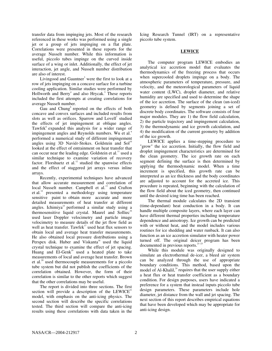transfer data from impinging jets. Most of the research referenced in these works was performed using a single jet or a group of jets impinging on a flat plate. Correlations were presented in these reports for the average Nusselt number. While this information is useful, piccolo tubes impinge on the curved inside surface of a wing or inlet. Additionally, the effect of jet interaction, jet angle, and Nusselt number distribution are also of interest.

Livingood and Gauntner<sup>3</sup> were the first to look at a row of jets impinging on a concave surface for a turbine cooling application. Similar studies were performed by Hollworth and Berry<sup>4</sup> and also Hrycak.<sup>5</sup> These reports included the first attempts at creating correlations for average Nusselt number.

Gau and Chung<sup>6</sup> reported on the effects of both concave and convex surfaces and included results from slots as well as orifices. Sparrow and Lovell<sup>7</sup> studied the effects of jet impingement at oblique angles. Tawfek<sup>8</sup> expanded this analysis for a wider range of impingement angles and Reynolds numbers. Wu et al.<sup>9</sup> performed a numerical study of different impingement angles using  $3D$  Naviér-Stokes. Goldstein and  $Sol<sup>10</sup>$ looked at the effect of entrainment on heat transfer that can occur near the leading edge. Goldstein et al.<sup>11</sup> used a similar technique to examine variation of recovery factor. Florshuetz et al. $12$  studied the spanwise effects and the effect of staggered jet arrays versus inline arrays.

Recently, experimental techniques have advanced that allow accurate measurement and correlation of local Nusselt number. Campbell et al.<sup>13</sup> and Crafton et al.<sup>14</sup> presented a methodology using temperature sensitive paint to obtain more accurate and more detailed measurements of heat transfer at different angles. Ichimiya<sup>15</sup> performed a similar study using a thermosensitive liquid crystal. Maurel and Solliec<sup>16</sup> used laser Doppler velocimetry and particle image velocimetry to measure details of the jet flow field as well as heat transfer. Tawfek<sup>17</sup> used heat flux sensors to obtain local and average heat transfer measurements. He also obtained local pressure distributions using a Perspex disk. Huber and Viskanta<sup>18</sup> used the liquid crystal technique to examine the effect of jet spacing. Huang and  $E1-Genk^{19}$  used a heated plate to take measurements of local and average heat transfer. Brown et al.<sup>20</sup> used thermocouple measurements for a piccolo tube system but did not publish the coefficients of the correlation obtained. However, the form of their correlation is similar to the other reports which suggest that the other correlations may be useful.

The report is divided into three sections. The first section will provide a description of the LEWICE<sup>21</sup> model, with emphasis on the anti-icing physics. The second section will describe the specific correlations tested. The third section will compare the anti-icing results using these correlations with data taken in the Icing Research Tunnel (IRT) on a representative piccolo tube system.

#### **LEWICE**

The computer program LEWICE embodies an analytical ice accretion model that evaluates the thermodynamics of the freezing process that occurs when supercooled droplets impinge on a body. The atmospheric parameters of temperature, pressure, and velocity, and the meteorological parameters of liquid water content (LWC), droplet diameter, and relative humidity are specified and used to determine the shape of the ice accretion. The surface of the clean (un-iced) geometry is defined by segments joining a set of discrete body coordinates. The software consists of four major modules. They are 1) the flow field calculation, 2) the particle trajectory and impingement calculation, 3) the thermodynamic and ice growth calculation, and 4) the modification of the current geometry by addition of the ice growth.

LEWICE applies a time-stepping procedure to "grow" the ice accretion. Initially, the flow field and droplet impingement characteristics are determined for the clean geometry. The ice growth rate on each segment defining the surface is then determined by applying the thermodynamic model. When a time increment is specified, this growth rate can be interpreted as an ice thickness and the body coordinates are adjusted to account for the accreted ice. This procedure is repeated, beginning with the calculation of the flow field about the iced geometry, then continued until the desired icing time has been reached.

The thermal module calculates the 2D transient (time-dependant) heat conduction in a body. It can handle multiple composite layers, where each layer can have different thermal properties including temperature dependence and anisotropy. Ice growth can be predicted with or without heat, and the model includes various routines for ice shedding and water runback. It can also function as an ice accretion simulator with heater power turned off. The original deicer program has been documented in previous reports.<sup>21-23</sup>

While this module was originally designed to simulate an electrothermal de-icer, a bleed air system can be analyzed through the use of appropriate boundary conditions. This method, based upon the model of Al-Khalil, $^{24}$  requires that the user supply either a heat flux or heat transfer coefficient as a boundary condition. For design purposes, users have indicated a preference for a system that instead inputs piccolo tube design parameters. These parameters include hole diameter, jet distance from the wall and jet spacing. The next section of this report describes empirical equations that have been developed which may be appropriate for anti-icing design.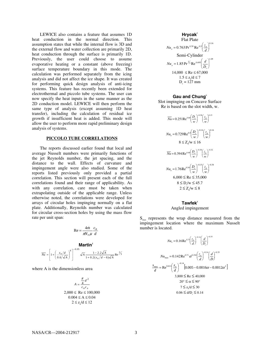LEWICE also contains a feature that assumes 1D heat conduction in the normal direction. This assumption states that while the internal flow is 3D and the external flow and water collection are primarily 2D, heat conduction through the surface is primarily 1D. Previously, the user could choose to assume evaporative heating or a constant (above freezing) surface temperature boundary in this mode. The calculation was performed separately from the icing analysis and did not affect the ice shape. It was created for performing quick design analysis of anti-icing systems. This feature has recently been extended for electrothermal and piccolo tube systems. The user can now specify the heat inputs in the same manner as the 2D conduction model. LEWICE will then perform the same type of analysis (except assuming 1D heat transfer), including the calculation of residual ice growth if insufficient heat is added. This mode will allow the user to perform more rapid preliminary design analysis of systems.

#### **PICCOLO TUBE CORRELATIONS**

The reports discussed earlier found that local and average Nusselt numbers were primarily functions of the jet Reynolds number, the jet spacing, and the distance to the wall. Effects of curvature and impingement angle were also studied. Some of the reports listed previously only provided a partial correlation. This section will present each of the full correlations found and their range of applicability. As with any correlation, care must be taken when extrapolating outside of the applicable range. Unless otherwise noted, the correlations were developed for arrays of circular holes impinging normally on a flat plate. Additionally, Reynolds number was calculated for circular cross-section holes by using the mass flow rate per unit span:

$$
\text{Re} = \frac{4\dot{m}}{\pi N_r \mu} \frac{c_n}{d}
$$

$$
\text{Martin}^1_{\text{1--0.05}}
$$

$$
\overline{Nu} = \left[ 1 + \left( \frac{z_n/d}{0.6/\sqrt{A}} \right)^6 \right]^{-0.05} \sqrt{A} \frac{1 - 2.2\sqrt{A}}{1 + 0.2(z_n/d - 6)\sqrt{A}} \text{Re}
$$

where A is the dimensionless area

$$
A = \frac{\frac{\pi}{4}d^2}{c_n c_x}
$$
  
2,000 \le Re \le 100,000  
0.004 \le A \le 0.04  
2 \le z\_n/d \le 12

**Hrycak<sup>5</sup>**  
\nFlat Plate  
\n
$$
Nu_o = 0.763 \text{ Pr}^{0.39} \text{Re}^{0.5} \left(\frac{z_n}{d}\right)^{0.16}
$$
  
\nSemi-Cylinder  
\n $Nu_o = 1.85 \text{ Pr}^{1/3} \text{Re}^{0.695} \left(\frac{d}{D_c}\right)^{1.05}$   
\n $14,000 \le \text{Re} \le 67,000$   
\n $1.5 \le z_n/d \le 7$   
\n $D_c = 127 \text{ mm}$ 

#### Gau and Chung<sup>6</sup>

Slot impinging on Concave Surface Re is based on the slot width, w.

$$
\overline{Nu} = 0.251 \text{Re}^{0.68} \left( \frac{D_c}{w} \right)^{-0.38} \left( \frac{z_n}{w} \right)^{0.15}
$$
  
\n
$$
Nu_o = 0.729 \text{Re}^{0.5} \left( \frac{D_c}{w} \right)^{-0.14} \left( \frac{z_n}{w} \right)^{0.16}
$$
  
\n
$$
8 \le Z_n/w \le 16
$$
  
\n
$$
\overline{Nu} = 0.394 \text{Re}^{0.68} \left( \frac{D_c}{w} \right)^{-0.38} \left( \frac{z_n}{w} \right)^{-0.32}
$$
  
\n
$$
Nu_o = 1.76 \text{Re}^{0.54} \left( \frac{D_c}{w} \right)^{-0.15} \left( \frac{z_n}{w} \right)^{-0.38}
$$
  
\n
$$
6,000 \le \text{Re} \le 35,000
$$
  
\n
$$
8 \le D_c/w \le 45.7
$$
  
\n
$$
2 \le \overline{Z_n}/w \le 8
$$

#### Tawfek<sup>8</sup> Angled impingement

 $S<sub>max</sub>$  represents the wrap distance measured from the impingement location where the maximum Nusselt number is located.

$$
Nu_{o} = 0.16 \text{Re}^{0.71} \left(\frac{z_{n}}{d}\right)^{-0.14} \left(\frac{d}{D_{c}}\right)^{-0.35}
$$

$$
Nu_{\text{max}} = 0.142 \text{Re}^{0.71} \alpha^{0.194} \left(\frac{z_{n}}{d}\right)^{-0.14} \left(\frac{d}{D}\right)^{-0.35}
$$

$$
\frac{s_{\text{max}}}{d} = \text{Re}^{0.611} \left(\frac{z_{n}}{d}\right)^{-0.14} \left[0.005 - 0.0016\alpha - 0.0012\alpha^{2}\right]
$$

$$
3,800 \le \text{Re} \le 40,000
$$

$$
20^{\circ} \le \alpha \le 90^{\circ}
$$

$$
7 \le z_{n}/d \le 30
$$

$$
0.06 \le d/D_{c} \le 0.14
$$

 $\frac{2}{3}$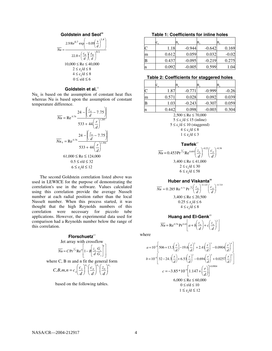#### **Goldstein and Seol<sup>10</sup>**

$$
\overline{Nu} = \frac{2.9 \text{ Re}^{0.7} \exp\left(-0.09\left(\frac{s}{d}\right)^{1.4}\right)}{22.8 + \left(\frac{c_n}{d}\right)\left(\frac{z_n}{d}\right)^{0.5}}
$$
  

$$
10,000 \le \text{Re} \le 40,000
$$
  

$$
2 \le z_n / d \le 8
$$
  

$$
4 \le c_n / d \le 8
$$
  

$$
0 \le s / d \le 6
$$

### Goldstein et al.<sup>11</sup>

 $Nu_a$  is based on the assumption of constant heat flux whereas Nu is based upon the assumption of constant temperature difference.

$$
\overline{Nu} = \text{Re}^{0.76} \frac{24 - \left(\frac{z_n}{d} - 7.75\right)}{533 + 44\left(\frac{r}{d}\right)^{1.285}}
$$

$$
\overline{Nu}_q = \text{Re}^{0.76} \frac{24 - \left(\frac{z_n}{d} - 7.75\right)}{533 + 44\left(\frac{r}{d}\right)^{1.394}}
$$

$$
61,000 \le \text{Re} \le 124,000
$$

$$
0.5 \le r/d \le 32
$$

$$
6 \le z_d/d \le 12
$$

The second Goldstein correlation listed above was used in LEWICE for the purpose of demonstrating the correlation's use in the software. Values calculated using this correlation provide the average Nusselt number at each radial position rather than the local Nusselt number. When this process started, it was thought that the high Reynolds numbers of this correlation were necessary for piccolo tube applications. However, the experimental data used for comparison had a Reynolds number below the range of this correlation.

## Florschuetz<sup>12</sup>

Jet array with crossflow

$$
\overline{Nu} = C \operatorname{Pr}^{\frac{1}{3}} \operatorname{Re}^m \left[ 1 - B \left[ \frac{z_n}{d} \frac{G_c}{G_j} \right]^n \right]
$$

where C, B m and n fit the general form

$$
C, B, m, n = c_o \left(\frac{c_x}{d}\right)^{n_x} \left(\frac{c_n}{d}\right)^{n_y} \left(\frac{z_n}{d}\right)^{n_z}
$$

based on the following tables.

#### **Table 1: Coefficients for inline holes**

|   |       |          |          | n       |
|---|-------|----------|----------|---------|
| C | 1.18  | $-0.944$ | $-0.642$ | 0.169   |
| m | 0.612 | 0.059    | 0.032    | $-0.02$ |
| B | 0.437 | $-0.095$ | $-0.219$ | 0.275   |
| n | 0.092 | $-0.005$ | 0.599    | 0.04    |

#### **Table 2: Coefficients for staggered holes**

|   | $C_{\alpha}$ | n                           | n        | n       |
|---|--------------|-----------------------------|----------|---------|
| C | 1.87         | $-0.771$                    | $-0.999$ | $-0.26$ |
| m | 0.571        | 0.028                       | 0.092    | 0.039   |
| B | 1.03         | $-0.243$                    | $-0.307$ | 0.059   |
| n | 0.442        | 0.098                       | $-0.003$ | 0.304   |
|   |              | $2,500 \leq Re \leq 70,000$ |          |         |

 $5 \leq c_x/d \leq 15$  (inline)  $5 \leq c_x/d \leq 10$  (staggered)  $4 \leq c_n/d \leq 8$  $1 \le z_n/d \le 3$ 

**Tawfek**<sup>17</sup>  
\n
$$
\overline{Nu} = 0.453 \text{Pr}^{\frac{1}{3}} \text{Re}^{0.691} \left(\frac{z_n}{d}\right)^{-0.22} \left(\frac{c_n}{d}\right)^{-0.38}
$$
\n
$$
3,400 \le \text{Re} \le 41,000
$$
\n
$$
2 \le c_n/d \le 30
$$
\n
$$
6 \le z_n/d \le 58
$$

**Huber and Viskanta<sup>18</sup>**  
\n
$$
\overline{Nu} = 0.285 \text{ Re } {}^{0.71} \text{ Pr} \frac{X_2 \left(\frac{z_n}{d}\right)^{-0.123} \left(\frac{c_n}{d}\right)^{-0.725}}{3,400 \le \text{Re} \le 20,500}
$$
\n
$$
0.25 \le z_n / d \le 6
$$
\n
$$
4 \le c_n / d \le 8
$$

**Huang and El-Genk**<sup>19</sup>  

$$
\overline{Nu} = \text{Re}^{0.76} \text{Pr}^{0.42} \left[ a + b \left( \frac{z_n}{d} \right) + c \left( \frac{z_n}{d} \right)^2 \right]
$$

where

$$
a = 10^{-4} \left[ 506 + 13.3 \left( \frac{r}{d} \right) - 19.6 \left( \frac{r}{d} \right)^2 + 2.41 \left( \frac{r}{d} \right)^3 - 0.0904 \left( \frac{r}{d} \right)^4 \right]
$$
  
\n
$$
b = 10^{-4} \left[ 32 - 24.3 \left( \frac{r}{d} \right) + 6.53 \left( \frac{r}{d} \right)^2 - 0.694 \left( \frac{r}{d} \right)^3 + 0.0257 \left( \frac{r}{d} \right)^4 \right]
$$
  
\n
$$
c = -3.85 * 10^{-4} \left[ 1.147 + \left( \frac{r}{d} \right) \right]^{-0.0904}
$$
  
\n
$$
6,000 \le \text{Re} \le 60,000
$$
  
\n
$$
0 \le r/d \le 10
$$
  
\n
$$
1 \le z_n/d \le 12
$$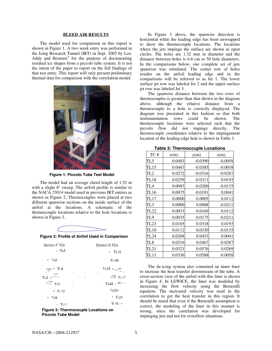#### **BLEED AIR RESULTS**

The model used for comparison in this report is shown in Figure 1. A two week entry was performed in the Icing Research Tunnel (IRT) in Sept. 2003 by Lee, Addy and Broeren<sup>25</sup> for the purpose of documenting residual ice shapes from a piccolo tube system. It is not the intent of the paper to report on the full findings of that test entry. This report will only present preliminary thermal data for comparison with the correlation model.



**Figure 1: Piccolo Tube Test Model**

The model had an average chord length of 1.52 m with a slight 8° sweep. The airfoil profile is similar to the NACA 23014 model used in previous IRT entries as shown in Figure 2. Thermocouples were placed at two different spanwise sections on the inside surface of the airfoil at the locations. A schematic of the thermocouple locations relative to the hole locations is shown in Figure 3.



**Figure 2: Profile of Airfoil Used in Comparison**

| Section FTCs                      |               |                      |        | Section G TCs                          |
|-----------------------------------|---------------|----------------------|--------|----------------------------------------|
| $-TL5$                            |               |                      |        | <b>TL15</b><br>$\bullet$               |
| $\cdot$ TL2                       |               |                      |        | TL18.                                  |
| TL <sub>4</sub><br>$0.88^{\circ}$ | $\rightarrow$ |                      | $\sim$ | $TL16 - L1557$                         |
| 0.05<br>TL <sub>3</sub>           |               | $\ddot{\phantom{0}}$ |        | $\overset{0.45}{\longrightarrow}$ TL17 |
| $-0.48$<br>TL9                    | $\cdot$       |                      | ¥.     | TL22 $\cdot$ $28 +$ $\cdot$            |
| $\cdot$ TL10                      |               |                      |        | TL23.                                  |
| $+TL8$                            |               |                      |        | $+TL21$                                |
| <b>TL11</b>                       |               |                      |        | T124                                   |

**Figure 3: Thermocouple Locations on Piccolo Tube Model** 

In Figure 3 above, the spanwise direction is horizontal while the leading edge has been unwrapped to show the thermocouple locations. The locations where the jets impinge the surface are shown as open circles. The holes are 1.32 mm in diameter and the distance between holes is 6.6 cm or 50 hole diameters. In the comparisons below, one complete set of jets spanwise was simulated. The center row of holes resides on the airfoil leading edge and in the comparisons will be referred to as Jet 1. The lower surface jet row was labeled Jet 2 and the upper surface jet row was labeled Jet 3.

The spanwise distance between the two rows of thermocouples is greater than that shown in the diagram above, although the relative distance from a thermocouple to a hole is correctly displayed. The diagram was presented in this fashion so that both instrumentation rows could be shown. The thermocouple locations were selected such that the piccolo flow did not impinge directly. The thermocouple coordinates relative to the impingement location of the leading edge hole is shown in Table 3.

**Table 3: Thermocouple Locations** 

| TC#         | x(m)   | y(m)      | z(m)      |
|-------------|--------|-----------|-----------|
| TL5         | 0.0483 | $-0.0390$ | $-0.0058$ |
| TL15        | 0.0467 | $-0.0385$ | $-0.0038$ |
| TL2         | 0.0272 | $-0.0316$ | $-0.0287$ |
| TL18        | 0.0259 | $-0.0311$ | 0.0193    |
| TL4         | 0.0083 | $-0.0200$ | $-0.0135$ |
| TL16        | 0.0075 | $-0.0191$ | 0.0041    |
| TL17        | 0.0000 | 0.0005    | 0.0112    |
| TL3         | 0.0000 | 0.0008    | $-0.0211$ |
| <b>TL22</b> | 0.0033 | 0.0169    | 0.0112    |
| TL9         | 0.0035 | 0.0175    | $-0.0211$ |
| TL23        | 0.0105 | 0.0318    | 0.0193    |
| TL10        | 0.0112 | 0.0330    | $-0.0135$ |
| TL24        | 0.0204 | 0.0453    | 0.0041    |
| TL8         | 0.0216 | 0.0467    | $-0.0287$ |
| TL21        | 0.0321 | 0.0576    | 0.0269    |
| TL11        | 0.0336 | 0.0588    | $-0.0058$ |

The de-icing system also contained an inner liner to increase the heat transfer downstream of the tube. A cross-section view of the airfoil with this liner is shown in Figure 4. In LEWICE, the liner was modeled by increasing the flow velocity using the Bernoulli equation. The increased velocity was used in the correlation to get the heat transfer in this region. It should be noted that even if the Bernoulli assumption is correct, the modeling of the liner in this manner is wrong, since the correlation was developed for impinging jets and not for crossflow situations.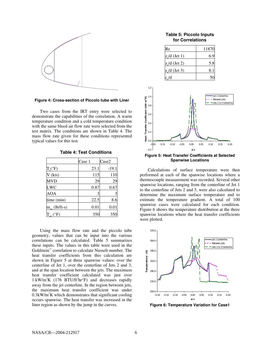

#### **Figure 4: Cross-section of Piccolo tube with Liner**

Two cases from the IRT entry were selected to demonstrate the capabilities of the correlation. A warm temperature condition and a cold temperature condition with the same bleed air flow rate were selected from the test matrix. The conditions are shown in Table 4. The mass flow rate given for these conditions represented typical values for this test.

|                       | Case 1 | Case2   |
|-----------------------|--------|---------|
| $T_c$ <sup>o</sup> F) | 23.1   | $-19.1$ |
| $V$ (kts)             | 115    | 110     |
| <b>MVD</b>            | 29     | 29      |
| <b>LWC</b>            | 0.87   | 0.67    |
| <b>AOA</b>            | 3      | 3       |
| time (min)            | 22.5   | 8.6     |
| $m_{air}$ (lb/ft-s)   | 0.01   | 0.01    |
| F)                    | 350    | 350     |

**Table 4: Test Conditions** 

Using the mass flow rate and the piccolo tube geometry, values that can be input into the various correlations can be calculated. Table 5 summarizes these inputs. The values in this table were used in the Goldstein<sup>11</sup> correlation to calculate Nusselt number. The heat transfer coefficients from this calculation are shown in Figure 5 at three spanwise values: over the centerline of Jet 1, over the centerline of Jets 2 and 3, and at the span location between the jets. The maximum heat transfer coefficient calculated was just over  $1 \text{ kW/m}^2\text{K}$  (176 BTU/ft<sup>2</sup>hr<sup>o</sup>F) and decreases rapidly away from the jet centerline. In the region between jets, the maximum heat transfer coefficient was under  $0.3$ kW/m<sup>2</sup>K which demonstrates that significant cooling occurs spanwise. The heat transfer was increased in the liner region as shown by the jump in the curves.

**Table 5: Piccolo Inputs for Correlations** 

| Re            | 11870 |
|---------------|-------|
| $z/d$ (Jet 1) | 6.9   |
| $z/d$ (Jet 2) | 5.8   |
| $z/d$ (Jet 3) | 8.1   |
| /d<br>C.      |       |



**Figure 5: Heat Transfer Coefficients at Selected Spanwise Locations**

Calculations of surface temperature were then performed at each of the spanwise locations where a thermocouple measurement was recorded. Several other spanwise locations, ranging from the centerline of Jet 1 to the centerline of Jets 2 and 3, were also calculated to determine the maximum surface temperature and to estimate the temperature gradient. A total of 100 spanwise cases were calculated for each condition. Figure 6 shows the temperature distribution at the three spanwise locations where the heat transfer coefficients were plotted.



**Figure 6: Temperature Variation for Case1**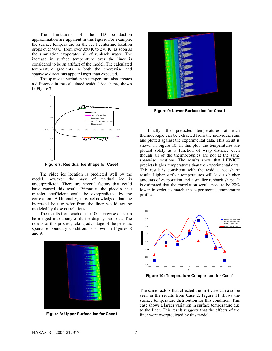The limitations of the 1D conduction approximation are apparent in this figure. For example, the surface temperature for the Jet 1 centerline location drops over 90°C (from over 350 K to 270 K) as soon as the simulation evaporates all of runback water. The increase in surface temperature over the liner is considered to be an artifact of the model. The calculated temperature gradients in both the chordwise and spanwise directions appear larger than expected.

The spanwise variation in temperature also creates a difference in the calculated residual ice shape, shown in Figure 7.



**Figure 7: Residual Ice Shape for Case1** 

The ridge ice location is predicted well by the model, however the mass of residual ice is underpredicted. There are several factors that could have caused this result. Primarily, the piccolo heat transfer coefficient could be overpredicted by the correlation. Additionally, it is acknowledged that the increased heat transfer from the liner would not be modeled by these correlations.

The results from each of the 100 spanwise cuts can be merged into a single file for display purposes. The results of this process, taking advantage of the periodic spanwise boundary condition, is shown in Figures 8 and 9.



**Figure 8: Upper Surface Ice for Case1**



**Figure 9: Lower Surface Ice for Case1**

Finally, the predicted temperatures at each thermocouple can be extracted from the individual runs and plotted against the experimental data. This result is shown in Figure 10. In this plot, the temperatures are plotted solely as a function of wrap distance even though all of the thermocouples are not at the same spanwise locations. The results show that LEWICE predicts higher temperatures than the experimental data. This result is consistent with the residual ice shape result. Higher surface temperatures will lead to higher amounts of evaporation and a smaller runback shape. It is estimated that the correlation would need to be 20% lower in order to match the experimental temperature profile.



**Figure 10: Temperature Comparison for Case1**

The same factors that affected the first case can also be seen in the results from Case 2. Figure 11 shows the surface temperature distribution for this condition. This case shows a larger variation in surface temperature due to the liner. This result suggests that the effects of the liner were overpredicted by this model.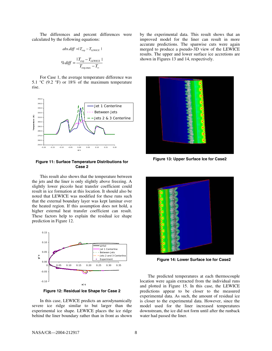The differences and percent differences were calculated by the following equations:

$$
abs.diff = |T_{\text{exp}} - T_{\text{LFWICE}}|
$$

$$
\%diff = \frac{|T_{\text{exp}} - T_{\text{LFWICE}}|}{T_{\text{exp,max}} - T_{\text{exp}}}
$$

For Case 1, the average temperature difference was 5.1 °C (9.2 °F) or 18% of the maximum temperature rise.



**Figure 11: Surface Temperature Distributions for Case 2**

This result also shows that the temperature between the jets and the liner is only slightly above freezing. A slightly lower piccolo heat transfer coefficient could result in ice formation at this location. It should also be noted that LEWICE was modified for these runs such that the external boundary layer was kept laminar over the heated region. If this assumption does not hold, a higher external heat transfer coefficient can result. These factors help to explain the residual ice shape prediction in Figure 12.



**Figure 12: Residual Ice Shape for Case 2** 

In this case, LEWICE predicts an aerodynamically severe ice ridge similar to but larger than the experimental ice shape. LEWICE places the ice ridge behind the liner boundary rather than in front as shown by the experimental data. This result shows that an improved model for the liner can result in more accurate predictions. The spanwise cuts were again merged to produce a pseudo-3D view of the LEWICE results. The upper and lower surface ice accretions are shown in Figures 13 and 14, respectively.



**Figure 13: Upper Surface Ice for Case2** 



**Figure 14: Lower Surface Ice for Case2**

The predicted temperatures at each thermocouple location were again extracted from the individual runs and plotted in Figure 15. In this case, the LEWICE predictions appear to be closer to the measured experimental data. As such, the amount of residual ice is closer to the experimental data. However, since the model used for the liner increased temperatures downstream, the ice did not form until after the runback water had passed the liner.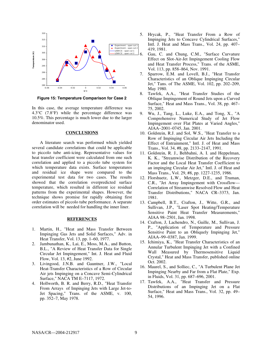

**Figure 15: Temperature Comparison for Case 2**

In this case, the average temperature difference was 4.3°C (7.8°F) while the percentage difference was 10.5%. This percentage is much lower due to the larger denominator used.

#### **CONCLUSIONS**

A literature search was performed which yielded several candidate correlations that could be applicable to piccolo tube anti-icing. Representative values for heat transfer coefficient were calculated from one such correlation and applied to a piccolo tube system for which temperature data exists. Surface temperatures and residual ice shape were compared to the experimental test data for two cases. The results showed that the correlation overpredicted surface temperature, which resulted in different ice residual patterns from the experimental shapes. However, the technique shows promise for rapidly obtaining first order estimates of piccolo tube performance. A separate correlation will be needed for handling the inner liner.

#### **REFERENCES**

- 1. Martin, H., "Heat and Mass Transfer Between Impinging Gas Jets and Solid Surfaces," Adv. in Heat Transfer, Vol. 13, pp. 1–60, 1977.
- 2. Jambunathan, K., Lai, E., Moss, M.A., and Button, B.L., "A Review of Heat Transfer Data for Single Circular Jet Impingement," Int. J. Heat and Fluid Flow, Vol. 13, #2, June 1992.
- 3. Livingood, J.N.B. and Gauntner, J.W., "Local Heat-Transfer Characteristics of a Row of Circular Air jets Impinging on a Concave Semi-Cylindrical Surface," NACA TM E–7117, 1972.
- 4. Hollworth, B. R. and Berry, R.D., "Heat Transfer From Arrays of Impinging Jets with Large Jet-to-Jet Spacing," Trans. of the ASME, v. 100, pp. 352–7, May 1978.
- 5. Hrycak, P., "Heat Transfer From a Row of Impinging Jets to Concave Cylindrical Surfaces," Intl. J. Heat and Mass Trans., Vol. 24, pp. 407– 419, 1981.
- 6. Gau, C. and Chung, C.M., "Surface Curvature Effect on Slot-Air-Jet Impingement Cooling Flow and Heat Transfer Process," Trans. of the ASME, Vol. 113, pp. 858–864, Nov. 1991.
- 7. Sparrow, E.M. and Lovell, B.J., "Heat Transfer Characteristics of an Oblique Impinging Circular Jet," Tans. of The ASME, Vol. 102, pp. 202–209, May 1980.
- 8. Tawfek, A.A., "Heat Transfer Studies of the Oblique Impingement of Round Jets upon a Curved Surface," Heat and Mass Trans., Vol. 38, pp. 467– 75, 2002.
- 9. Wu, J., Tang, L., Luke, E.A., and Tong, X., "A Comprehensive Numerical Study of Jet Flow Impingement over Flat Plates at Varied Angles," AIAA–2001–0745, Jan. 2001.
- 10. Goldstein, R.J. and Sol, W.S., "Heat Transfer to a Row of Impinging Circular Air Jets Including the Effect of Entrainment," Intl. J. of Heat and Mass Trans., Vol. 34, #8, pp. 2133–2147, 1991.
- 11. Goldstein, R. J., Behbahni, A. I. and Heppelman, K. K., "Streamwise Distribution of the Recovery Factor and the Local Heat Transfer Coefficient to an impinging Circular Air Jet," Intl. J. of Heat and Mass Trans., Vol. 29, #8, pp. 1227-1235, 1986.
- 12. Florshuetz, L.W., Metzger, D.E., and Truman, C.R., "Jet Array Impingement with Crossflow— Correlation of Streamwise Resolved Flow and Heat Transfer Distributions," NACA CR–3373, Jan. 1981.
- 13. Campbell, B.T., Crafton, J., Witte, G.R., and Sullivan, J.P., "Laser Spot Heating/Temperature Sensitive Paint Heat Transfer Measurements," AIAA 98–2501, Jan. 1998.
- 14. Crafton, J, Lachendro, N., Guille, M., Sullivan, J. P., "Application of Temperature and Pressure Sensitive Paint to an Obliquely Impinging Jet," AIAA–99–0387, Jan. 1999.
- 15. Ichimiya, K., "Heat Transfer Characteristics of an Annular Turbulent Impinging Jet with a Confined Wall Measured by Thermosensitive Liquid Crystal," Heat and Mass Transfer, published online Oct. 2002.
- 16. Maurel, S., and Solliec, C., "A Turbulent Plane Jet Impinging Nearby and Far from a Flat Plate," Exp. in Fluids, Vol. 31, pp. 687–696, 2001.
- 17. Tawfek, A.A., "Heat Transfer and Pressure Distributions of an Impinging Jet on a Flat Surface," Heat and Mass Trans., Vol. 32, pp. 49– 54, 1996.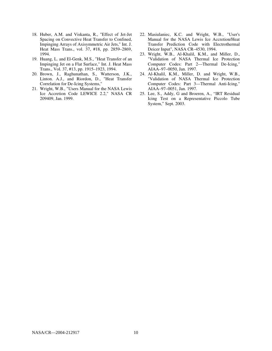- 18. Huber, A.M. and Viskanta, R., "Effect of Jet-Jet Spacing on Convective Heat Transfer to Confined, Impinging Arrays of Axisymmetric Air Jets," Int. J. Heat Mass Trans., vol. 37, #18, pp. 2859–2869, 1994.
- 19. Huang, L. and El-Genk, M.S., "Heat Transfer of an Impinging Jet on a Flat Surface," Int. J. Heat Mass Trans., Vol. 37, #13, pp. 1915–1923, 1994.
- 20. Brown, J., Raghunathan, S., Watterson, J.K., Linton. A.J., and Riordon, D., "Heat Transfer Correlation for De-Icing Systems,"
- 21. Wright, W.B., "Users Manual for the NASA Lewis Ice Accretion Code LEWICE 2.2," NASA CR 209409, Jan. 1999.
- 22. Masiulaniec, K.C. and Wright, W.B., "User's Manual for the NASA Lewis Ice Accretion/Heat Transfer Prediction Code with Electrothermal Deicer Input", NASA CR–4530, 1994.
- 23. Wright, W.B., Al-Khalil, K.M., and Miller, D., "Validation of NASA Thermal Ice Protection Computer Codes: Part 2—Thermal De-Icing," AIAA–97–0050, Jan. 1997.
- 24. Al-Khalil, K.M., Miller, D. and Wright, W.B., "Validation of NASA Thermal Ice Protection Computer Codes: Part 3—Thermal Anti-Icing," AIAA–97–0051, Jan. 1997.
- 25. Lee, S., Addy, G and Broeren, A., "IRT Residual Icing Test on a Representative Piccolo Tube System," Sept. 2003.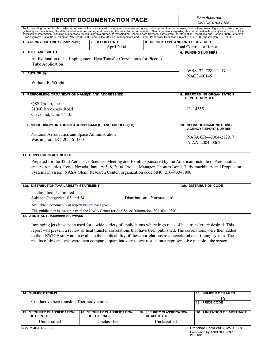## **REPORT DOCUMENTATION PAGE**

Form Approved OMB No. 0704-0188

|                                                         |                                                                                                                                                                                                                                                                                                                                                                                                                                                                                             |                                    | Public reporting burden for this collection of information is estimated to average 1 hour per response, including the time for reviewing instructions, searching existing data sources,                                                                                                                                                                               |
|---------------------------------------------------------|---------------------------------------------------------------------------------------------------------------------------------------------------------------------------------------------------------------------------------------------------------------------------------------------------------------------------------------------------------------------------------------------------------------------------------------------------------------------------------------------|------------------------------------|-----------------------------------------------------------------------------------------------------------------------------------------------------------------------------------------------------------------------------------------------------------------------------------------------------------------------------------------------------------------------|
|                                                         | Davis Highway, Suite 1204, Arlington, VA 22202-4302, and to the Office of Management and Budget, Paperwork Reduction Project (0704-0188), Washington, DC 20503.                                                                                                                                                                                                                                                                                                                             |                                    | gathering and maintaining the data needed, and completing and reviewing the collection of information. Send comments regarding this burden estimate or any other aspect of this<br>collection of information, including suggestions for reducing this burden, to Washington Headquarters Services, Directorate for Information Operations and Reports, 1215 Jefferson |
| 1. AGENCY USE ONLY (Leave blank)                        | 2. REPORT DATE                                                                                                                                                                                                                                                                                                                                                                                                                                                                              | 3. REPORT TYPE AND DATES COVERED   |                                                                                                                                                                                                                                                                                                                                                                       |
|                                                         | April 2004                                                                                                                                                                                                                                                                                                                                                                                                                                                                                  |                                    | <b>Final Contractor Report</b>                                                                                                                                                                                                                                                                                                                                        |
| <b>4. TITLE AND SUBTITLE</b>                            |                                                                                                                                                                                                                                                                                                                                                                                                                                                                                             |                                    | 5. FUNDING NUMBERS                                                                                                                                                                                                                                                                                                                                                    |
| Tube Application                                        | An Evaluation of Jet Impingement Heat Transfer Correlations for Piccolo                                                                                                                                                                                                                                                                                                                                                                                                                     |                                    |                                                                                                                                                                                                                                                                                                                                                                       |
| 6. AUTHOR(S)                                            |                                                                                                                                                                                                                                                                                                                                                                                                                                                                                             |                                    | WBS-22-728-41-17                                                                                                                                                                                                                                                                                                                                                      |
|                                                         |                                                                                                                                                                                                                                                                                                                                                                                                                                                                                             |                                    | NAG3-00145                                                                                                                                                                                                                                                                                                                                                            |
| William B. Wright                                       |                                                                                                                                                                                                                                                                                                                                                                                                                                                                                             |                                    |                                                                                                                                                                                                                                                                                                                                                                       |
| 7. PERFORMING ORGANIZATION NAME(S) AND ADDRESS(ES)      |                                                                                                                                                                                                                                                                                                                                                                                                                                                                                             |                                    | 8. PERFORMING ORGANIZATION<br><b>REPORT NUMBER</b>                                                                                                                                                                                                                                                                                                                    |
| QSS Group, Inc.                                         |                                                                                                                                                                                                                                                                                                                                                                                                                                                                                             |                                    |                                                                                                                                                                                                                                                                                                                                                                       |
| 21000 Brookpark Road<br>Cleveland, Ohio 44135           |                                                                                                                                                                                                                                                                                                                                                                                                                                                                                             |                                    | $E-14355$                                                                                                                                                                                                                                                                                                                                                             |
|                                                         |                                                                                                                                                                                                                                                                                                                                                                                                                                                                                             |                                    |                                                                                                                                                                                                                                                                                                                                                                       |
| 9. SPONSORING/MONITORING AGENCY NAME(S) AND ADDRESS(ES) |                                                                                                                                                                                                                                                                                                                                                                                                                                                                                             |                                    | <b>10. SPONSORING/MONITORING</b>                                                                                                                                                                                                                                                                                                                                      |
|                                                         |                                                                                                                                                                                                                                                                                                                                                                                                                                                                                             |                                    | <b>AGENCY REPORT NUMBER</b>                                                                                                                                                                                                                                                                                                                                           |
| National Aeronautics and Space Administration           |                                                                                                                                                                                                                                                                                                                                                                                                                                                                                             |                                    | NASA CR-2004-212917                                                                                                                                                                                                                                                                                                                                                   |
| Washington, DC 20546-0001                               |                                                                                                                                                                                                                                                                                                                                                                                                                                                                                             |                                    | AIAA-2004-0062                                                                                                                                                                                                                                                                                                                                                        |
|                                                         |                                                                                                                                                                                                                                                                                                                                                                                                                                                                                             |                                    |                                                                                                                                                                                                                                                                                                                                                                       |
| <b>11. SUPPLEMENTARY NOTES</b>                          |                                                                                                                                                                                                                                                                                                                                                                                                                                                                                             |                                    |                                                                                                                                                                                                                                                                                                                                                                       |
|                                                         | Prepared for the 42nd Aerospace Sciences Meeting and Exhibit sponsored by the American Institute of Aeronautics<br>Systems Division, NASA Glenn Research Center, organization code 5840, 216–433–3900.                                                                                                                                                                                                                                                                                      |                                    | and Astronautics, Reno, Nevada, January 5-8, 2004. Project Manager, Thomas Bond, Turbomachinery and Propulsion                                                                                                                                                                                                                                                        |
|                                                         |                                                                                                                                                                                                                                                                                                                                                                                                                                                                                             |                                    |                                                                                                                                                                                                                                                                                                                                                                       |
| 12a. DISTRIBUTION/AVAILABILITY STATEMENT                |                                                                                                                                                                                                                                                                                                                                                                                                                                                                                             |                                    | <b>12b. DISTRIBUTION CODE</b>                                                                                                                                                                                                                                                                                                                                         |
| Unclassified - Unlimited                                |                                                                                                                                                                                                                                                                                                                                                                                                                                                                                             |                                    |                                                                                                                                                                                                                                                                                                                                                                       |
| Subject Categories: 03 and 34                           |                                                                                                                                                                                                                                                                                                                                                                                                                                                                                             | Distribution: Nonstandard          |                                                                                                                                                                                                                                                                                                                                                                       |
| Available electronically at http://gltrs.grc.nasa.gov   |                                                                                                                                                                                                                                                                                                                                                                                                                                                                                             |                                    |                                                                                                                                                                                                                                                                                                                                                                       |
|                                                         | This publication is available from the NASA Center for AeroSpace Information, 301–621–0390.                                                                                                                                                                                                                                                                                                                                                                                                 |                                    |                                                                                                                                                                                                                                                                                                                                                                       |
| 13. ABSTRACT (Maximum 200 words)                        |                                                                                                                                                                                                                                                                                                                                                                                                                                                                                             |                                    |                                                                                                                                                                                                                                                                                                                                                                       |
|                                                         | Impinging jets have been used for a wide variety of applications where high rates of heat transfer are desired. This<br>report will present a review of heat transfer correlations that have been published. The correlations were then added<br>to the LEWICE software to evaluate the applicability of these correlations to a piccolo tube anti-icing system. The<br>results of this analysis were then compared quantitatively to test results on a representative piccolo tube system. |                                    |                                                                                                                                                                                                                                                                                                                                                                       |
| <b>14. SUBJECT TERMS</b>                                |                                                                                                                                                                                                                                                                                                                                                                                                                                                                                             |                                    | <b>15. NUMBER OF PAGES</b>                                                                                                                                                                                                                                                                                                                                            |
| Conductive heat transfer; Thermodynamics                |                                                                                                                                                                                                                                                                                                                                                                                                                                                                                             |                                    | 16<br>16. PRICE CODE                                                                                                                                                                                                                                                                                                                                                  |
| 17. SECURITY CLASSIFICATION                             | <b>18. SECURITY CLASSIFICATION</b>                                                                                                                                                                                                                                                                                                                                                                                                                                                          | <b>19. SECURITY CLASSIFICATION</b> | 20. LIMITATION OF ABSTRACT                                                                                                                                                                                                                                                                                                                                            |
| OF REPORT<br>Unclassified                               | OF THIS PAGE<br>Unclassified                                                                                                                                                                                                                                                                                                                                                                                                                                                                | OF ABSTRACT<br>Unclassified        |                                                                                                                                                                                                                                                                                                                                                                       |